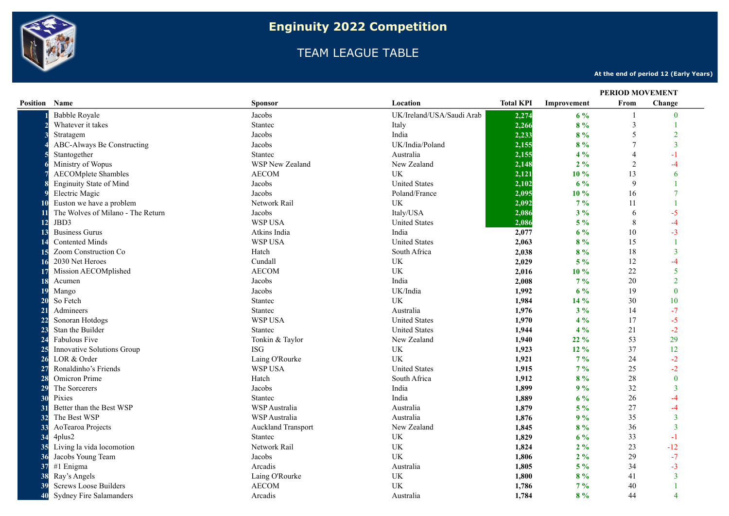

## TEAM LEAGUE TABLE

**At the end of period 12 (Early Years)**

|                      |                                   |                           |                                 |                  | <b>PERIOD MOVEMENT</b> |                |                |
|----------------------|-----------------------------------|---------------------------|---------------------------------|------------------|------------------------|----------------|----------------|
| <b>Position Name</b> |                                   | <b>Sponsor</b>            | Location                        | <b>Total KPI</b> | Improvement            | From           | Change         |
|                      | <b>Babble Royale</b>              | Jacobs                    | UK/Ireland/USA/Saudi Arab       | 2,274            | $6\%$                  | $\mathbf{1}$   | $\mathbf{0}$   |
|                      | Whatever it takes                 | <b>Stantec</b>            | Italy                           | 2,266            | 8%                     | 3              |                |
|                      | Stratagem                         | Jacobs                    | India                           | 2,233            | 8%                     | 5              | $\mathfrak{D}$ |
|                      | ABC-Always Be Constructing        | Jacobs                    | UK/India/Poland                 | 2,155            | 8%                     | $\overline{7}$ | 3              |
|                      | Stantogether                      | <b>Stantec</b>            | Australia                       | 2,155            | $4\%$                  | $\overline{4}$ |                |
|                      | Ministry of Wopus                 | <b>WSP New Zealand</b>    | New Zealand                     | 2,148            | 2%                     | $\overline{2}$ | -4             |
|                      | <b>AECOMplete Shambles</b>        | <b>AECOM</b>              | UK                              | 2,121            | 10 %                   | 13             | 6              |
|                      | <b>Enginuity State of Mind</b>    | Jacobs                    | <b>United States</b>            | 2,102            | 6%                     | 9              |                |
|                      | Electric Magic                    | Jacobs                    | Poland/France                   | 2,095            | 10%                    | 16             |                |
|                      | Euston we have a problem          | Network Rail              | UK                              | 2,092            | $7\%$                  | 11             |                |
|                      | The Wolves of Milano - The Return | Jacobs                    | Italy/USA                       | 2,086            | $3\%$                  | 6              | $-5$           |
| 12                   | JBD3                              | <b>WSP USA</b>            | <b>United States</b>            | 2,086            | $5\%$                  | 8              | $-4$           |
| 13                   | <b>Business Gurus</b>             | Atkins India              | India                           | 2,077            | $6\%$                  | 10             | $-3$           |
| -14                  | <b>Contented Minds</b>            | <b>WSP USA</b>            | <b>United States</b>            | 2,063            | 8%                     | 15             |                |
|                      | Zoom Construction Co              | Hatch                     | South Africa                    | 2,038            | 8%                     | 18             | $\overline{3}$ |
| <b>16</b>            | 2030 Net Heroes                   | Cundall                   | UK                              | 2,029            | $5\%$                  | 12             |                |
|                      | Mission AECOMplished              | <b>AECOM</b>              | UK                              | 2,016            | 10 %                   | $22\,$         | 5              |
| <b>18</b>            | Acumen                            | Jacobs                    | India                           | 2,008            | $7\%$                  | 20             |                |
| 19                   | Mango                             | Jacobs                    | UK/India                        | 1,992            | 6%                     | 19             | $\Omega$       |
| 2(                   | So Fetch                          | <b>Stantec</b>            | UK                              | 1,984            | 14 %                   | 30             | 10             |
| 21                   | Admineers                         | <b>Stantec</b>            | Australia                       | 1,976            | $3\%$                  | 14             | $-7$           |
| 22                   | Sonoran Hotdogs                   | WSP USA                   | <b>United States</b>            | 1,970            | $4\%$                  | 17             | $-5$           |
| 23                   | Stan the Builder                  | <b>Stantec</b>            | <b>United States</b>            | 1,944            | $4\%$                  | 21             | $-2$           |
| 24                   | Fabulous Five                     | Tonkin & Taylor           | New Zealand                     | 1,940            | $22\%$                 | 53             | 29             |
| 25                   | Innovative Solutions Group        | <b>ISG</b>                | UK                              | 1,923            | $12\%$                 | 37             | 12             |
| 26                   | LOR & Order                       | Laing O'Rourke            | UK                              | 1,921            | $7\%$                  | 24             | $-2$           |
| 27                   | Ronaldinho's Friends              | WSP USA                   | <b>United States</b>            | 1,915            | $7\%$                  | 25             | $-2$           |
| 28                   | Omicron Prime                     | Hatch                     | South Africa                    | 1,912            | 8%                     | 28             | $\mathbf{0}$   |
| 29                   | The Sorcerers                     | Jacobs                    | India                           | 1,899            | 9%                     | 32             | $\overline{3}$ |
| 30                   | Pixies                            | Stantec                   | India                           | 1,889            | $6\%$                  | 26             | -4             |
| 31                   | Better than the Best WSP          | WSP Australia             | Australia                       | 1,879            | $5\%$                  | 27             | $-4$           |
| 32                   | The Best WSP                      | WSP Australia             | Australia                       | 1,876            | 9%                     | 35             | 3              |
| 33                   | AoTearoa Projects                 | <b>Auckland Transport</b> | New Zealand                     | 1,845            | $8\%$                  | 36             | 3              |
| 34                   | 4plus2                            | <b>Stantec</b>            | UK                              | 1,829            | $6\%$                  | 33             | $-1$           |
| 35                   | Living la vida locomotion         | Network Rail              | <b>UK</b>                       | 1,824            | $2\%$                  | 23             | $-12$          |
| 36                   | Jacobs Young Team                 | Jacobs                    | UK                              | 1,806            | $2\%$                  | 29             | $-7$           |
| 37                   | #1 Enigma                         | Arcadis                   | Australia                       | 1,805            | $5\%$                  | 34             | $-3$           |
| 38                   | Ray's Angels                      | Laing O'Rourke            | UK                              | 1,800            | $8\%$                  | 41             | 3              |
| 39                   | <b>Screws Loose Builders</b>      | <b>AECOM</b>              | $\ensuremath{\text{UK}}\xspace$ | 1,786            | $7\%$                  | 40             |                |
| 40                   | Sydney Fire Salamanders           | Arcadis                   | Australia                       | 1,784            | 8%                     | 44             | Δ              |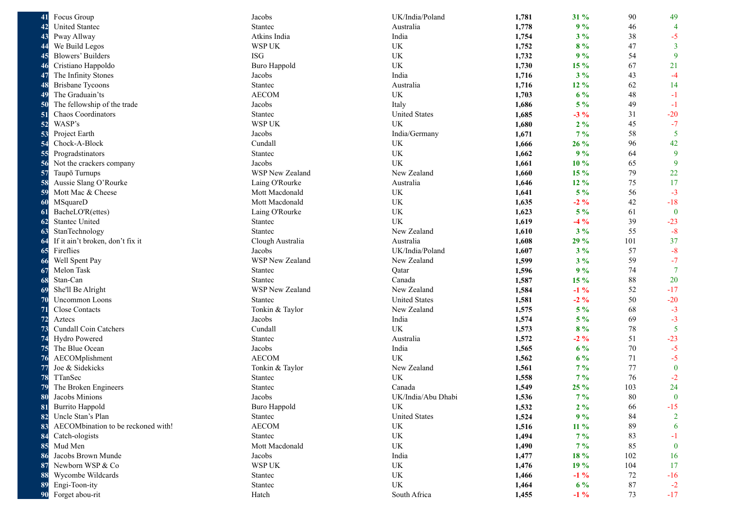| 41 | Focus Group                        | Jacobs                 | UK/India/Poland      | 1,781 | 31 %   | 90  | 49             |
|----|------------------------------------|------------------------|----------------------|-------|--------|-----|----------------|
| 42 | <b>United Stantec</b>              | Stantec                | Australia            | 1,778 | 9%     | 46  | $\overline{4}$ |
| 43 | Pway Allway                        | Atkins India           | India                | 1,754 | $3\%$  | 38  | $-5$           |
| 44 | We Build Legos                     | WSP UK                 | UK                   | 1,752 | 8%     | 47  | $\overline{3}$ |
| 45 | <b>Blowers' Builders</b>           | <b>ISG</b>             | UK                   | 1,732 | 9%     | 54  | 9              |
| 46 | Cristiano Happoldo                 | <b>Buro Happold</b>    | UK                   | 1,730 | 15 %   | 67  | 21             |
| 47 | The Infinity Stones                | Jacobs                 | India                | 1,716 | $3\%$  | 43  | $-4$           |
| 48 | <b>Brisbane Tycoons</b>            | Stantec                | Australia            | 1,716 | 12 %   | 62  | 14             |
| 49 | The Graduain'ts                    | <b>AECOM</b>           | UK                   | 1,703 | $6\%$  | 48  | $-1$           |
| 50 | The fellowship of the trade        | Jacobs                 | Italy                | 1,686 | $5\%$  | 49  | $-1$           |
| 51 | Chaos Coordinators                 | Stantec                | <b>United States</b> | 1,685 | $-3\%$ | 31  | $-20$          |
| 52 | WASP's                             | WSP UK                 | <b>UK</b>            | 1,680 | $2\%$  | 45  | $-7$           |
| 53 | Project Earth                      | Jacobs                 | India/Germany        | 1,671 | $7\%$  | 58  | 5              |
| 54 | Chock-A-Block                      | Cundall                | UK                   | 1,666 | $26\%$ | 96  | 42             |
| 55 | Progradstinators                   | Stantec                | UK                   | 1,662 | 9%     | 64  | 9              |
| 56 | Not the crackers company           | Jacobs                 | UK                   | 1,661 | 10%    | 65  | 9              |
| 57 | Taupō Turnups                      | <b>WSP New Zealand</b> | New Zealand          | 1,660 | 15 %   | 79  | 22             |
| 58 | Aussie Slang O'Rourke              | Laing O'Rourke         | Australia            | 1,646 | 12 %   | 75  | 17             |
| 59 | Mott Mac & Cheese                  | Mott Macdonald         | UK                   | 1,641 | $5\%$  | 56  | $-3$           |
| 60 | MSquareD                           | Mott Macdonald         | <b>UK</b>            | 1,635 | $-2\%$ | 42  | $-18$          |
| 61 | BacheLO'R(ettes)                   | Laing O'Rourke         | UK                   | 1,623 | $5\%$  | 61  | $\bf{0}$       |
| 62 | <b>Stantec United</b>              | Stantec                | UK                   | 1,619 | $-4\%$ | 39  | $-23$          |
| 63 | StanTechnology                     | Stantec                | New Zealand          | 1,610 | $3\%$  | 55  | $-8$           |
| 64 | If it ain't broken, don't fix it   | Clough Australia       | Australia            | 1,608 | 29 %   | 101 | 37             |
| 65 | Fireflies                          | Jacobs                 | UK/India/Poland      | 1,607 | $3\%$  | 57  | $-8$           |
| 66 | Well Spent Pay                     | WSP New Zealand        | New Zealand          | 1,599 | $3\%$  | 59  | $-7$           |
| 67 | Melon Task                         | Stantec                | Qatar                | 1,596 | 9%     | 74  | $\overline{7}$ |
| 68 | Stan-Can                           | Stantec                | Canada               | 1,587 | 15 %   | 88  | 20             |
| 69 | She'll Be Alright                  | WSP New Zealand        | New Zealand          | 1,584 | $-1\%$ | 52  | $-17$          |
| 70 | <b>Uncommon Loons</b>              | Stantec                | <b>United States</b> | 1,581 | $-2\%$ | 50  | $-20$          |
| 71 | Close Contacts                     | Tonkin & Taylor        | New Zealand          | 1,575 | $5\%$  | 68  | $-3$           |
| 72 | Aztecs                             | Jacobs                 | India                | 1,574 | $5\%$  | 69  | $-3$           |
| 73 | <b>Cundall Coin Catchers</b>       | Cundall                | UK                   | 1,573 | 8%     | 78  | 5              |
| 74 | Hydro Powered                      | Stantec                | Australia            | 1,572 | $-2\%$ | 51  | $-23$          |
| 75 | The Blue Ocean                     | Jacobs                 | India                | 1,565 | $6\%$  | 70  | $-5$           |
| 76 | AECOMplishment                     | <b>AECOM</b>           | UK                   | 1,562 | $6\%$  | 71  | $-5$           |
| 77 | Joe & Sidekicks                    | Tonkin & Taylor        | New Zealand          | 1,561 | $7\%$  | 77  | $\bf{0}$       |
| 78 | TTanSec                            | Stantec                | UK                   | 1,558 | $7\%$  | 76  | $-2$           |
| 79 | The Broken Engineers               | Stantec                | Canada               | 1,549 | 25 %   | 103 | 24             |
| 80 | Jacobs Minions                     | Jacobs                 | UK/India/Abu Dhabi   | 1,536 | $7\%$  | 80  | $\mathbf{0}$   |
| 81 | <b>Burrito Happold</b>             | <b>Buro Happold</b>    | UK                   | 1,532 | $2\%$  | 66  | $-15$          |
| 82 | Uncle Stan's Plan                  | Stantec                | <b>United States</b> | 1,524 | 9%     | 84  | $\overline{2}$ |
| 83 | AECOMbination to be reckoned with! | <b>AECOM</b>           | UK                   | 1,516 | 11 %   | 89  | 6              |
| 84 | Catch-ologists                     | Stantec                | UK                   | 1,494 | $7\%$  | 83  | $-1$           |
| 85 | Mud Men                            | Mott Macdonald         | UK                   | 1,490 | $7\%$  | 85  | $\bf{0}$       |
| 86 | Jacobs Brown Munde                 | Jacobs                 | India                | 1,477 | 18 %   | 102 | 16             |
| 87 | Newborn WSP & Co                   | WSP UK                 | UK                   | 1,476 | 19 %   | 104 | 17             |
| 88 | Wycombe Wildcards                  | Stantec                | UK                   | 1,466 | $-1\%$ | 72  | $-16$          |
| 89 | Engi-Toon-ity                      | Stantec                | UK                   | 1,464 | $6\%$  | 87  | $-2$           |
| 90 | Forget abou-rit                    | Hatch                  | South Africa         | 1,455 | $-1\%$ | 73  | $-17$          |